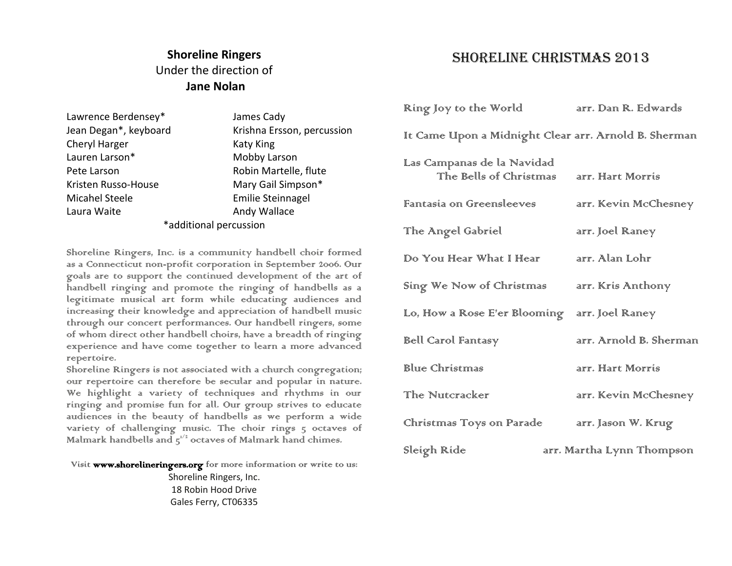# **Shoreline Ringers** Under the direction of **Jane Nolan**

| Lawrence Berdensey*    | James Cady                 |  |
|------------------------|----------------------------|--|
| Jean Degan*, keyboard  | Krishna Ersson, percussion |  |
| Cheryl Harger          | <b>Katy King</b>           |  |
| Lauren Larson*         | Mobby Larson               |  |
| Pete Larson            | Robin Martelle, flute      |  |
| Kristen Russo-House    | Mary Gail Simpson*         |  |
| Micahel Steele         | <b>Emilie Steinnagel</b>   |  |
| Laura Waite            | Andy Wallace               |  |
| *additional percussion |                            |  |
|                        |                            |  |

Shoreline Ringers, Inc. is a community handbell choir formed as a Connecticut non-profit corporation in September 2006. Our goals are to support the continued development of the art of handbell ringing and promote the ringing of handbells as a legitimate musical art form while educating audiences and increasing their knowledge and appreciation of handbell music through our concert performances. Our handbell ringers, some of whom direct other handbell choirs, have a breadth of ringing experience and have come together to learn a more advanced repertoire.

Shoreline Ringers is not associated with a church congregation; our repertoire can therefore be secular and popular in nature. We highlight a variety of techniques and rhythms in our ringing and promise fun for all. Our group strives to educate audiences in the beauty of handbells as we perform a wide variety of challenging music. The choir rings 5 octaves of Malmark handbells and  $5^{1/2}$  octaves of Malmark hand chimes.

Visit www.shorelineringers.org for more information or write to us:

Shoreline Ringers, Inc. 18 Robin Hood Drive Gales Ferry, CT06335

## Shoreline Christmas 2013

| Ring Joy to the World                                 | arr, Dan R. Edwards       |
|-------------------------------------------------------|---------------------------|
| It Came Ulpon a Midnight Clear arr. Arnold B. Sherman |                           |
| Las Campanas de la Navidad<br>The Bells of Christmas  | arr. Hart Morris          |
| Famtasia on Greensleeves                              | arr. Kevin McChesney      |
| The Angel Gabriel                                     | arr, Joel Raney           |
| Do Your Hear What I Hear                              | arr. Alan Lohr            |
| Sing We Now of Christmas                              | arr. Kris Anthony         |
| Lo, How a Rose E'er Blooming                          | arr, Joel Raney           |
| Bell Carol Fantasy                                    | arr, Arnold B. Sherman    |
| Blure Christmas                                       | arr. Hart Morris          |
| The Nuitcracker                                       | arr. Kevin McChesney      |
| Christmas Toys on Parade                              | arr, Jason W. Krug        |
| Sleigh Ride                                           | arr, Martha Lynn Thompson |